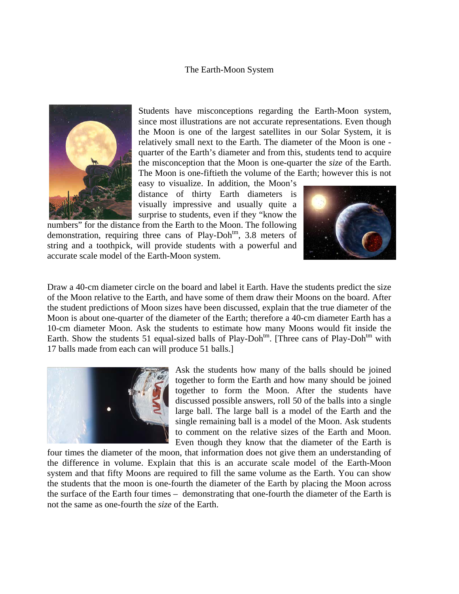## The Earth-Moon System



Students have misconceptions regarding the Earth-Moon system, since most illustrations are not accurate representations. Even though the Moon is one of the largest satellites in our Solar System, it is relatively small next to the Earth. The diameter of the Moon is one quarter of the Earth's diameter and from this, students tend to acquire the misconception that the Moon is one-quarter the *size* of the Earth. The Moon is one-fiftieth the volume of the Earth; however this is not

easy to visualize. In addition, the Moon's distance of thirty Earth diameters is visually impressive and usually quite a surprise to students, even if they "know the

numbers" for the distance from the Earth to the Moon. The following demonstration, requiring three cans of  $Play-Doh<sup>tm</sup>$ , 3.8 meters of string and a toothpick, will provide students with a powerful and accurate scale model of the Earth-Moon system.



 Draw a 40-cm diameter circle on the board and label it Earth. Have the students predict the size of the Moon relative to the Earth, and have some of them draw their Moons on the board. After the student predictions of Moon sizes have been discussed, explain that the true diameter of the Moon is about one-quarter of the diameter of the Earth; therefore a 40-cm diameter Earth has a 10-cm diameter Moon. Ask the students to estimate how many Moons would fit inside the Earth. Show the students 51 equal-sized balls of Play-Doh<sup>tm</sup>. [Three cans of Play-Doh<sup>tm</sup> with 17 balls made from each can will produce 51 balls.]



Ask the students how many of the balls should be joined together to form the Earth and how many should be joined together to form the Moon. After the students have discussed possible answers, roll 50 of the balls into a single large ball. The large ball is a model of the Earth and the single remaining ball is a model of the Moon. Ask students to comment on the relative sizes of the Earth and Moon. Even though they know that the diameter of the Earth is

four times the diameter of the moon, that information does not give them an understanding of the difference in volume. Explain that this is an accurate scale model of the Earth-Moon system and that fifty Moons are required to fill the same volume as the Earth. You can show the students that the moon is one-fourth the diameter of the Earth by placing the Moon across the surface of the Earth four times – demonstrating that one-fourth the diameter of the Earth is not the same as one-fourth the *size* of the Earth.